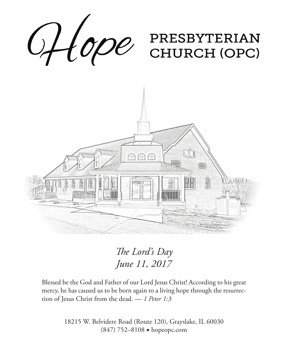

*The Lord's Day June 11, 2017*

Blessed be the God and Father of our Lord Jesus Christ! According to his great mercy, he has caused us to be born again to a living hope through the resurrection of Jesus Christ from the dead. — *1 Peter 1:3*

> 18215 W. Belvidere Road (Route 120), Grayslake, IL 60030 (847) 752–8108 ◆ hopeopc.com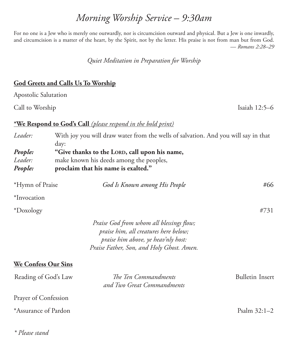# *Morning Worship Service – 9:30am*

For no one is a Jew who is merely one outwardly, nor is circumcision outward and physical. But a Jew is one inwardly, and circumcision is a matter of the heart, by the Spirit, not by the letter. His praise is not from man but from God. — *Romans 2:28–29*

*Quiet Meditation in Preparation for Worship*

## **God Greets and Calls Us To Worship**

Apostolic Salutation

Call to Worship Isaiah 12:5–6

### **\*We Respond to God's Call** *(please respond in the bold print)*

| Leader:                    | With joy you will draw water from the wells of salvation. And you will say in that<br>day: |                                                                                                                                                                       |                        |  |  |  |
|----------------------------|--------------------------------------------------------------------------------------------|-----------------------------------------------------------------------------------------------------------------------------------------------------------------------|------------------------|--|--|--|
| People:                    | "Give thanks to the LORD, call upon his name,                                              |                                                                                                                                                                       |                        |  |  |  |
| Leader:                    |                                                                                            | make known his deeds among the peoples,<br>proclaim that his name is exalted."                                                                                        |                        |  |  |  |
| People:                    |                                                                                            |                                                                                                                                                                       |                        |  |  |  |
| *Hymn of Praise            |                                                                                            | God Is Known among His People                                                                                                                                         | #66                    |  |  |  |
| *Invocation                |                                                                                            |                                                                                                                                                                       |                        |  |  |  |
| *Doxology                  |                                                                                            |                                                                                                                                                                       | #731                   |  |  |  |
|                            |                                                                                            | Praise God from whom all blessings flow;<br>praise him, all creatures here below;<br>praise him above, ye heav'nly host:<br>Praise Father, Son, and Holy Ghost. Amen. |                        |  |  |  |
| <b>We Confess Our Sins</b> |                                                                                            |                                                                                                                                                                       |                        |  |  |  |
| Reading of God's Law       |                                                                                            | The Ten Commandments<br>and Two Great Commandments                                                                                                                    | <b>Bulletin Insert</b> |  |  |  |
| Prayer of Confession       |                                                                                            |                                                                                                                                                                       |                        |  |  |  |
| *Assurance of Pardon       |                                                                                            |                                                                                                                                                                       | Psalm 32:1-2           |  |  |  |

*\* Please stand*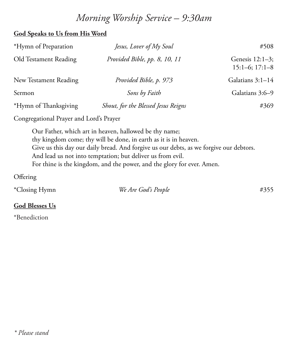# *Morning Worship Service – 9:30am*

# **God Speaks to Us from His Word**

| *Hymn of Preparation  | Jesus, Lover of My Soul             | #508                                      |
|-----------------------|-------------------------------------|-------------------------------------------|
| Old Testament Reading | Provided Bible, pp. 8, 10, 11       | Genesis $12:1-3$ ;<br>$15:1-6$ ; $17:1-8$ |
| New Testament Reading | Provided Bible, p. 973              | Galatians 3:1-14                          |
| Sermon                | Sons by Faith                       | Galatians 3:6-9                           |
| *Hymn of Thanksgiving | Shout, for the Blessed Jesus Reigns | #369                                      |

Congregational Prayer and Lord's Prayer

Our Father, which art in heaven, hallowed be thy name; thy kingdom come; thy will be done, in earth as it is in heaven. Give us this day our daily bread. And forgive us our debts, as we forgive our debtors. And lead us not into temptation; but deliver us from evil. For thine is the kingdom, and the power, and the glory for ever. Amen.

## **Offering**

| *Closing Hymn | We Are God's People | #355 |
|---------------|---------------------|------|
|               |                     |      |

# **God Blesses Us**

\*Benediction